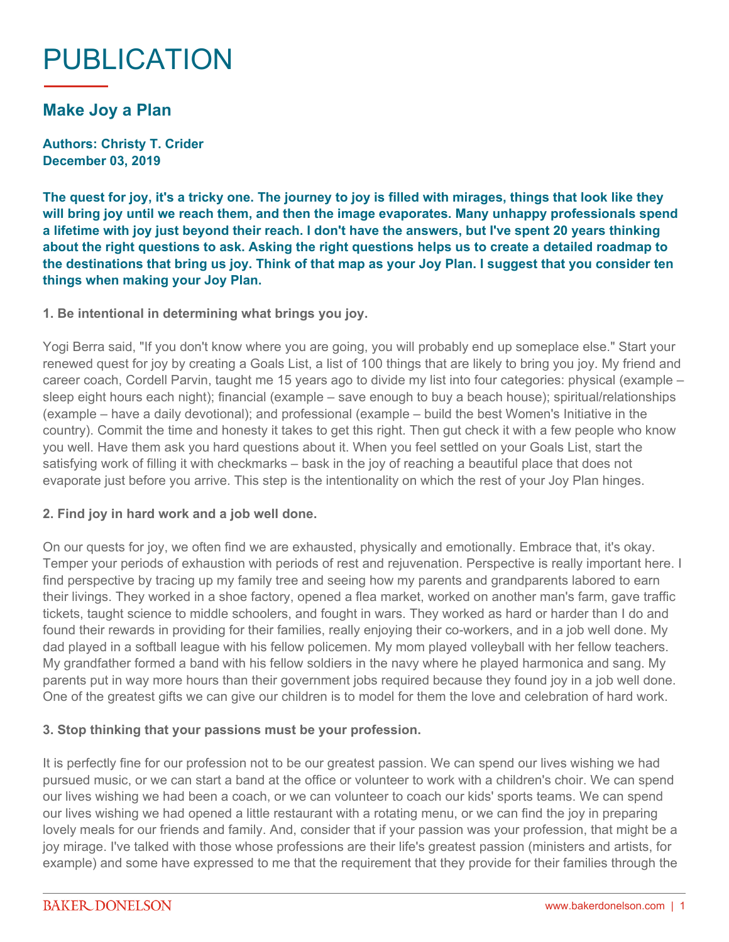# PUBLICATION

# **Make Joy a Plan**

**Authors: Christy T. Crider December 03, 2019**

**The quest for joy, it's a tricky one. The journey to joy is filled with mirages, things that look like they will bring joy until we reach them, and then the image evaporates. Many unhappy professionals spend a lifetime with joy just beyond their reach. I don't have the answers, but I've spent 20 years thinking about the right questions to ask. Asking the right questions helps us to create a detailed roadmap to the destinations that bring us joy. Think of that map as your Joy Plan. I suggest that you consider ten things when making your Joy Plan.**

#### **1. Be intentional in determining what brings you joy.**

Yogi Berra said, "If you don't know where you are going, you will probably end up someplace else." Start your renewed quest for joy by creating a Goals List, a list of 100 things that are likely to bring you joy. My friend and career coach, Cordell Parvin, taught me 15 years ago to divide my list into four categories: physical (example – sleep eight hours each night); financial (example – save enough to buy a beach house); spiritual/relationships (example – have a daily devotional); and professional (example – build the best Women's Initiative in the country). Commit the time and honesty it takes to get this right. Then gut check it with a few people who know you well. Have them ask you hard questions about it. When you feel settled on your Goals List, start the satisfying work of filling it with checkmarks – bask in the joy of reaching a beautiful place that does not evaporate just before you arrive. This step is the intentionality on which the rest of your Joy Plan hinges.

#### **2. Find joy in hard work and a job well done.**

On our quests for joy, we often find we are exhausted, physically and emotionally. Embrace that, it's okay. Temper your periods of exhaustion with periods of rest and rejuvenation. Perspective is really important here. I find perspective by tracing up my family tree and seeing how my parents and grandparents labored to earn their livings. They worked in a shoe factory, opened a flea market, worked on another man's farm, gave traffic tickets, taught science to middle schoolers, and fought in wars. They worked as hard or harder than I do and found their rewards in providing for their families, really enjoying their co-workers, and in a job well done. My dad played in a softball league with his fellow policemen. My mom played volleyball with her fellow teachers. My grandfather formed a band with his fellow soldiers in the navy where he played harmonica and sang. My parents put in way more hours than their government jobs required because they found joy in a job well done. One of the greatest gifts we can give our children is to model for them the love and celebration of hard work.

#### **3. Stop thinking that your passions must be your profession.**

It is perfectly fine for our profession not to be our greatest passion. We can spend our lives wishing we had pursued music, or we can start a band at the office or volunteer to work with a children's choir. We can spend our lives wishing we had been a coach, or we can volunteer to coach our kids' sports teams. We can spend our lives wishing we had opened a little restaurant with a rotating menu, or we can find the joy in preparing lovely meals for our friends and family. And, consider that if your passion was your profession, that might be a joy mirage. I've talked with those whose professions are their life's greatest passion (ministers and artists, for example) and some have expressed to me that the requirement that they provide for their families through the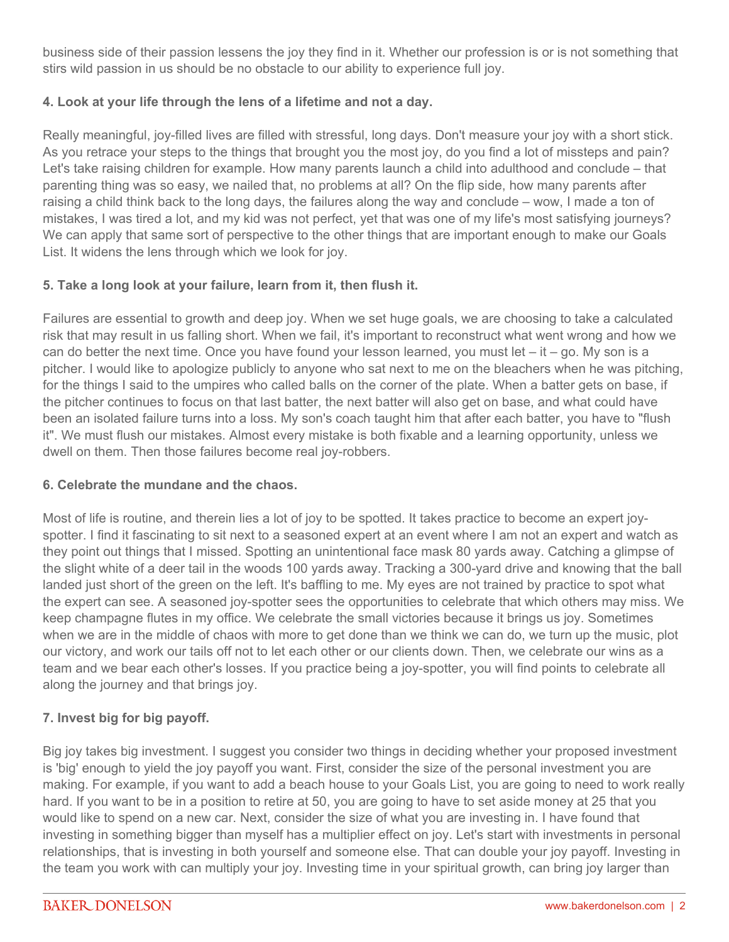business side of their passion lessens the joy they find in it. Whether our profession is or is not something that stirs wild passion in us should be no obstacle to our ability to experience full joy.

### **4. Look at your life through the lens of a lifetime and not a day.**

Really meaningful, joy-filled lives are filled with stressful, long days. Don't measure your joy with a short stick. As you retrace your steps to the things that brought you the most joy, do you find a lot of missteps and pain? Let's take raising children for example. How many parents launch a child into adulthood and conclude – that parenting thing was so easy, we nailed that, no problems at all? On the flip side, how many parents after raising a child think back to the long days, the failures along the way and conclude – wow, I made a ton of mistakes, I was tired a lot, and my kid was not perfect, yet that was one of my life's most satisfying journeys? We can apply that same sort of perspective to the other things that are important enough to make our Goals List. It widens the lens through which we look for joy.

#### **5. Take a long look at your failure, learn from it, then flush it.**

Failures are essential to growth and deep joy. When we set huge goals, we are choosing to take a calculated risk that may result in us falling short. When we fail, it's important to reconstruct what went wrong and how we can do better the next time. Once you have found your lesson learned, you must let  $-$  it  $-$  go. My son is a pitcher. I would like to apologize publicly to anyone who sat next to me on the bleachers when he was pitching, for the things I said to the umpires who called balls on the corner of the plate. When a batter gets on base, if the pitcher continues to focus on that last batter, the next batter will also get on base, and what could have been an isolated failure turns into a loss. My son's coach taught him that after each batter, you have to "flush it". We must flush our mistakes. Almost every mistake is both fixable and a learning opportunity, unless we dwell on them. Then those failures become real joy-robbers.

#### **6. Celebrate the mundane and the chaos.**

Most of life is routine, and therein lies a lot of joy to be spotted. It takes practice to become an expert joyspotter. I find it fascinating to sit next to a seasoned expert at an event where I am not an expert and watch as they point out things that I missed. Spotting an unintentional face mask 80 yards away. Catching a glimpse of the slight white of a deer tail in the woods 100 yards away. Tracking a 300-yard drive and knowing that the ball landed just short of the green on the left. It's baffling to me. My eyes are not trained by practice to spot what the expert can see. A seasoned joy-spotter sees the opportunities to celebrate that which others may miss. We keep champagne flutes in my office. We celebrate the small victories because it brings us joy. Sometimes when we are in the middle of chaos with more to get done than we think we can do, we turn up the music, plot our victory, and work our tails off not to let each other or our clients down. Then, we celebrate our wins as a team and we bear each other's losses. If you practice being a joy-spotter, you will find points to celebrate all along the journey and that brings joy.

## **7. Invest big for big payoff.**

Big joy takes big investment. I suggest you consider two things in deciding whether your proposed investment is 'big' enough to yield the joy payoff you want. First, consider the size of the personal investment you are making. For example, if you want to add a beach house to your Goals List, you are going to need to work really hard. If you want to be in a position to retire at 50, you are going to have to set aside money at 25 that you would like to spend on a new car. Next, consider the size of what you are investing in. I have found that investing in something bigger than myself has a multiplier effect on joy. Let's start with investments in personal relationships, that is investing in both yourself and someone else. That can double your joy payoff. Investing in the team you work with can multiply your joy. Investing time in your spiritual growth, can bring joy larger than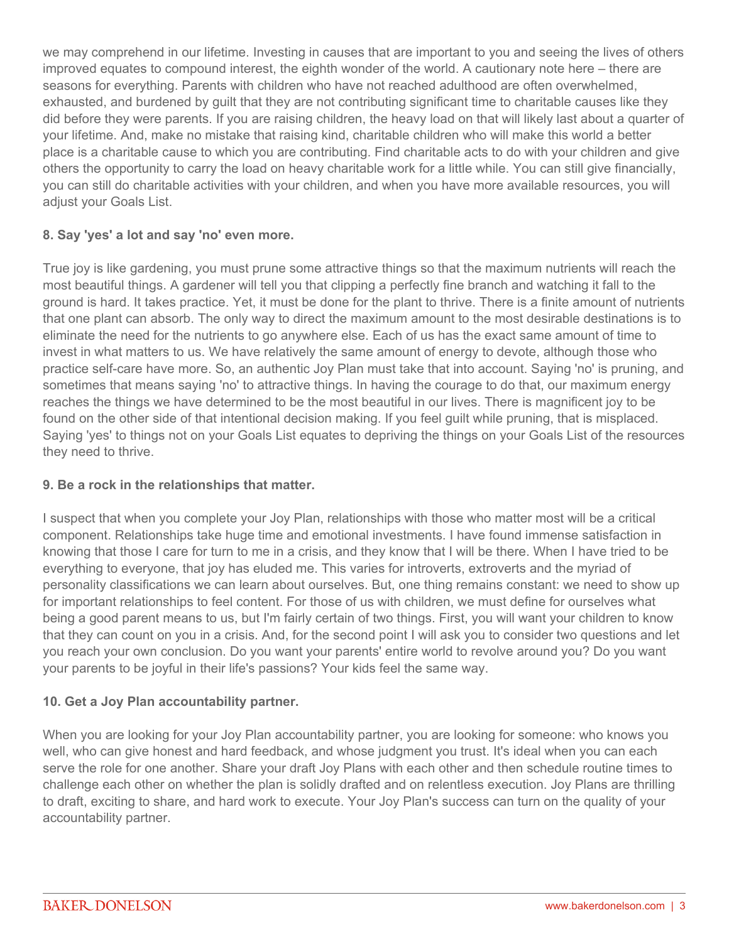we may comprehend in our lifetime. Investing in causes that are important to you and seeing the lives of others improved equates to compound interest, the eighth wonder of the world. A cautionary note here – there are seasons for everything. Parents with children who have not reached adulthood are often overwhelmed, exhausted, and burdened by guilt that they are not contributing significant time to charitable causes like they did before they were parents. If you are raising children, the heavy load on that will likely last about a quarter of your lifetime. And, make no mistake that raising kind, charitable children who will make this world a better place is a charitable cause to which you are contributing. Find charitable acts to do with your children and give others the opportunity to carry the load on heavy charitable work for a little while. You can still give financially, you can still do charitable activities with your children, and when you have more available resources, you will adjust your Goals List.

#### **8. Say 'yes' a lot and say 'no' even more.**

True joy is like gardening, you must prune some attractive things so that the maximum nutrients will reach the most beautiful things. A gardener will tell you that clipping a perfectly fine branch and watching it fall to the ground is hard. It takes practice. Yet, it must be done for the plant to thrive. There is a finite amount of nutrients that one plant can absorb. The only way to direct the maximum amount to the most desirable destinations is to eliminate the need for the nutrients to go anywhere else. Each of us has the exact same amount of time to invest in what matters to us. We have relatively the same amount of energy to devote, although those who practice self-care have more. So, an authentic Joy Plan must take that into account. Saying 'no' is pruning, and sometimes that means saying 'no' to attractive things. In having the courage to do that, our maximum energy reaches the things we have determined to be the most beautiful in our lives. There is magnificent joy to be found on the other side of that intentional decision making. If you feel guilt while pruning, that is misplaced. Saying 'yes' to things not on your Goals List equates to depriving the things on your Goals List of the resources they need to thrive.

#### **9. Be a rock in the relationships that matter.**

I suspect that when you complete your Joy Plan, relationships with those who matter most will be a critical component. Relationships take huge time and emotional investments. I have found immense satisfaction in knowing that those I care for turn to me in a crisis, and they know that I will be there. When I have tried to be everything to everyone, that joy has eluded me. This varies for introverts, extroverts and the myriad of personality classifications we can learn about ourselves. But, one thing remains constant: we need to show up for important relationships to feel content. For those of us with children, we must define for ourselves what being a good parent means to us, but I'm fairly certain of two things. First, you will want your children to know that they can count on you in a crisis. And, for the second point I will ask you to consider two questions and let you reach your own conclusion. Do you want your parents' entire world to revolve around you? Do you want your parents to be joyful in their life's passions? Your kids feel the same way.

#### **10. Get a Joy Plan accountability partner.**

When you are looking for your Joy Plan accountability partner, you are looking for someone: who knows you well, who can give honest and hard feedback, and whose judgment you trust. It's ideal when you can each serve the role for one another. Share your draft Joy Plans with each other and then schedule routine times to challenge each other on whether the plan is solidly drafted and on relentless execution. Joy Plans are thrilling to draft, exciting to share, and hard work to execute. Your Joy Plan's success can turn on the quality of your accountability partner.